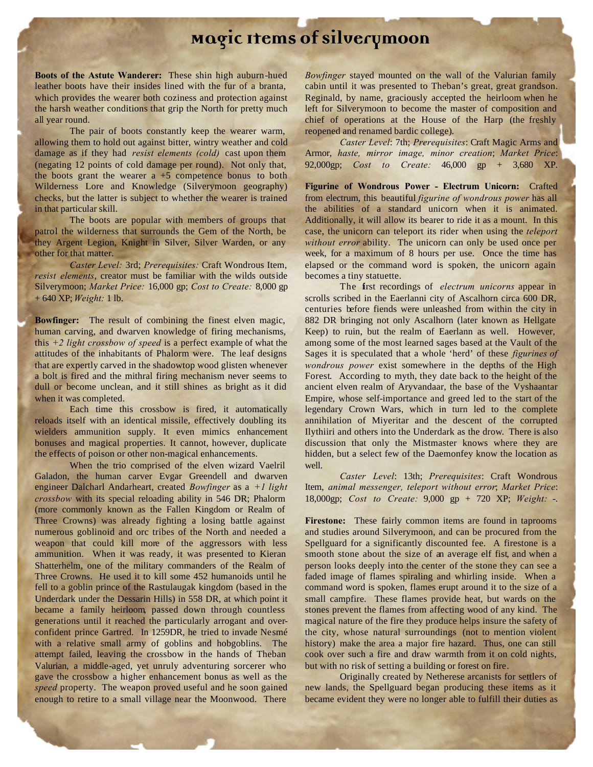## **Magic Items of Silverymoon**

**Boots of the Astute Wanderer:** These shin high auburn-hued leather boots have their insides lined with the fur of a branta, which provides the wearer both coziness and protection against the harsh weather conditions that grip the North for pretty much all year round.

The pair of boots constantly keep the wearer warm, allowing them to hold out against bitter, wintry weather and cold damage as if they had *resist elements (cold)* cast upon them (negating 12 points of cold damage per round). Not only that, the boots grant the wearer  $a + 5$  competence bonus to both Wilderness Lore and Knowledge (Silverymoon geography) checks, but the latter is subject to whether the wearer is trained in that particular skill.

The boots are popular with members of groups that patrol the wilderness that surrounds the Gem of the North, be they Argent Legion, Knight in Silver, Silver Warden, or any other for that matter.

*Caster Level:* 3rd; *Prerequisites:* Craft Wondrous Item, *resist elements*, creator must be familiar with the wilds outside Silverymoon; *Market Price:* 16,000 gp; *Cost to Create:* 8,000 gp + 640 XP; *Weight:* 1 lb.

**Bowfinger:** The result of combining the finest elven magic, human carving, and dwarven knowledge of firing mechanisms, this *+2 light crossbow of speed* is a perfect example of what the attitudes of the inhabitants of Phalorm were. The leaf designs that are expertly carved in the shadowtop wood glisten whenever a bolt is fired and the mithral firing mechanism never seems to dull or become unclean, and it still shines as bright as it did when it was completed.

Each time this crossbow is fired, it automatically reloads itself with an identical missile, effectively doubling its wielders ammunition supply. It even mimics enhancement bonuses and magical properties. It cannot, however, duplicate the effects of poison or other non-magical enhancements.

When the trio comprised of the elven wizard Vaelril Galadon, the human carver Evgar Greendell and dwarven engineer Dalcharl Andarheart, created *Bowfinger* as a *+1 light crossbow* with its special reloading ability in 546 DR; Phalorm (more commonly known as the Fallen Kingdom or Realm of Three Crowns) was already fighting a losing battle against numerous goblinoid and orc tribes of the North and needed a weapon that could kill more of the aggressors with less ammunition. When it was ready, it was presented to Kieran Shatterhelm, one of the military commanders of the Realm of Three Crowns. He used it to kill some 452 humanoids until he fell to a goblin prince of the Rastulaugak kingdom (based in the Underdark under the Dessarin Hills) in 558 DR, at which point it became a family heirloom, passed down through countless generations until it reached the particularly arrogant and overconfident prince Gartred. In 1259DR, he tried to invade Nesmé with a relative small army of goblins and hobgoblins. The attempt failed, leaving the crossbow in the hands of Theban Valurian, a middle-aged, yet unruly adventuring sorcerer who gave the crossbow a higher enhancement bonus as well as the *speed* property. The weapon proved useful and he soon gained enough to retire to a small village near the Moonwood. There

*Bowfinger* stayed mounted on the wall of the Valurian family cabin until it was presented to Theban's great, great grandson. Reginald, by name, graciously accepted the heirloom when he left for Silverymoon to become the master of composition and chief of operations at the House of the Harp (the freshly reopened and renamed bardic college).

*Caster Level*: 7th; *Prerequisites*: Craft Magic Arms and Armor, *haste, mirror image, minor creation*; *Market Price*: 92,000gp; *Cost to Create:* 46,000 gp + 3,680 XP.

**Figurine of Wondrous Power - Electrum Unicorn:** Crafted from electrum, this beautiful *figurine of wondrous power* has all the abilities of a standard unicorn when it is animated. Additionally, it will allow its bearer to ride it as a mount. In this case, the unicorn can teleport its rider when using the *teleport without error* ability. The unicorn can only be used once per week, for a maximum of 8 hours per use. Once the time has elapsed or the command word is spoken, the unicorn again becomes a tiny statuette.

The first recordings of *electrum unicorns* appear in scrolls scribed in the Eaerlanni city of Ascalhorn circa 600 DR, centuries before fiends were unleashed from within the city in 882 DR bringing not only Ascalhorn (later known as Hellgate Keep) to ruin, but the realm of Eaerlann as well. However, among some of the most learned sages based at the Vault of the Sages it is speculated that a whole 'herd' of these *figurines of wondrous power* exist somewhere in the depths of the High Forest. According to myth, they date back to the height of the ancient elven realm of Aryvandaar, the base of the Vyshaantar Empire, whose self-importance and greed led to the start of the legendary Crown Wars, which in turn led to the complete annihilation of Miyeritar and the descent of the corrupted Ilythiiri and others into the Underdark as the drow. There is also discussion that only the Mistmaster knows where they are hidden, but a select few of the Daemonfey know the location as well.

*Caster Level*: 13th; *Prerequisites*: Craft Wondrous Item, *animal messenger, teleport without error*; *Market Price*: 18,000gp; *Cost to Create:* 9,000 gp + 720 XP; *Weight:* -.

**Firestone:** These fairly common items are found in taprooms and studies around Silverymoon, and can be procured from the Spellguard for a significantly discounted fee. A firestone is a smooth stone about the size of an average elf fist, and when a person looks deeply into the center of the stone they can see a faded image of flames spiraling and whirling inside. When a command word is spoken, flames erupt around it to the size of a small campfire. These flames provide heat, but wards on the stones prevent the flames from affecting wood of any kind. The magical nature of the fire they produce helps insure the safety of the city, whose natural surroundings (not to mention violent history) make the area a major fire hazard. Thus, one can still cook over such a fire and draw warmth from it on cold nights, but with no risk of setting a building or forest on fire.

Originally created by Netherese arcanists for settlers of new lands, the Spellguard began producing these items as it became evident they were no longer able to fulfill their duties as